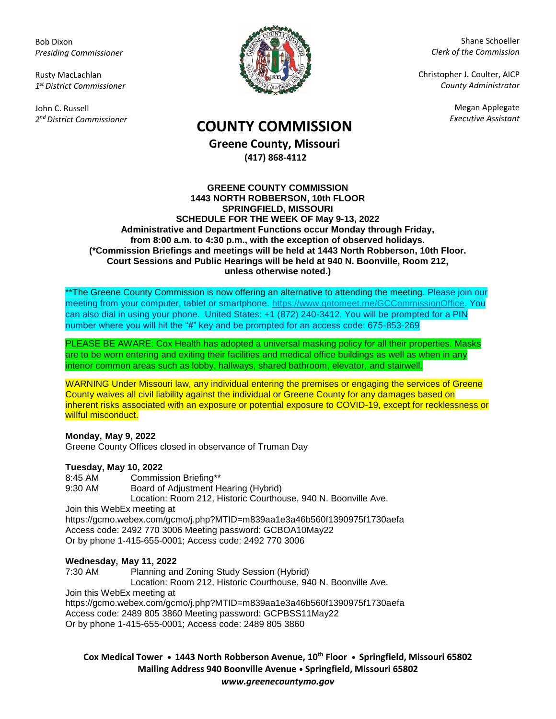Bob Dixon *Presiding Commissioner*

Rusty MacLachlan *1 st District Commissioner*

John C. Russell *2 nd District Commissioner*



Shane Schoeller *Clerk of the Commission*

Christopher J. Coulter, AICP *County Administrator*

Megan Applegate

# *Executive Assistant* **COUNTY COMMISSION**

**Greene County, Missouri (417) 868-4112**

#### **GREENE COUNTY COMMISSION 1443 NORTH ROBBERSON, 10th FLOOR SPRINGFIELD, MISSOURI SCHEDULE FOR THE WEEK OF May 9-13, 2022 Administrative and Department Functions occur Monday through Friday, from 8:00 a.m. to 4:30 p.m., with the exception of observed holidays. (\*Commission Briefings and meetings will be held at 1443 North Robberson, 10th Floor. Court Sessions and Public Hearings will be held at 940 N. Boonville, Room 212, unless otherwise noted.)**

\*\*The Greene County Commission is now offering an alternative to attending the meeting. Please join our meeting from your computer, tablet or smartphone. [https://www.gotomeet.me/GCCommissionOffice.](https://www.gotomeet.me/GCCommissionOffice) You can also dial in using your phone. United States: +1 (872) 240-3412. You will be prompted for a PIN number where you will hit the "#" key and be prompted for an access code: 675-853-269

PLEASE BE AWARE: Cox Health has adopted a universal masking policy for all their properties. Masks are to be worn entering and exiting their facilities and medical office buildings as well as when in any interior common areas such as lobby, hallways, shared bathroom, elevator, and stairwell.

WARNING Under Missouri law, any individual entering the premises or engaging the services of Greene County waives all civil liability against the individual or Greene County for any damages based on inherent risks associated with an exposure or potential exposure to COVID-19, except for recklessness or willful misconduct.

### **Monday, May 9, 2022**

Greene County Offices closed in observance of Truman Day

### **Tuesday, May 10, 2022**

8:45 AM Commission Briefing\*\* 9:30 AM Board of Adjustment Hearing (Hybrid) Location: Room 212, Historic Courthouse, 940 N. Boonville Ave. Join this WebEx meeting at <https://gcmo.webex.com/gcmo/j.php?MTID=m839aa1e3a46b560f1390975f1730aefa> Access code: 2492 770 3006 Meeting password: GCBOA10May22 Or by phone 1-415-655-0001; Access code: 2492 770 3006

# **Wednesday, May 11, 2022**

7:30 AM Planning and Zoning Study Session (Hybrid) Location: Room 212, Historic Courthouse, 940 N. Boonville Ave. Join this WebEx meeting at <https://gcmo.webex.com/gcmo/j.php?MTID=m839aa1e3a46b560f1390975f1730aefa> Access code: 2489 805 3860 Meeting password: GCPBSS11May22 Or by phone 1-415-655-0001; Access code: 2489 805 3860

**Cox Medical Tower • 1443 North Robberson Avenue, 10th Floor • Springfield, Missouri 65802 Mailing Address 940 Boonville Avenue • Springfield, Missouri 65802** *www.greenecountymo.gov*